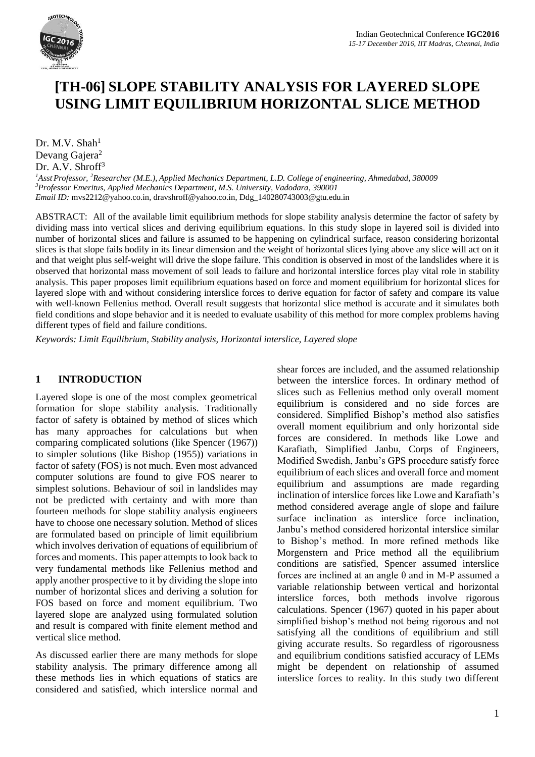

# **[TH-06] SLOPE STABILITY ANALYSIS FOR LAYERED SLOPE USING LIMIT EQUILIBRIUM HORIZONTAL SLICE METHOD**

Dr. M.V. Shah $1$ Devang Gajera<sup>2</sup> Dr. A.V. Shroff<sup>3</sup>

*<sup>1</sup>Asst.Professor, <sup>2</sup>Researcher (M.E.), Applied Mechanics Department, L.D. College of engineering, Ahmedabad, 380009 <sup>3</sup>Professor Emeritus, Applied Mechanics Department, M.S. University, Vadodara, 390001 Email ID:* [mvs2212@yahoo.co.in,](mailto:mvs2212@yahoo.co.in) [dravshroff@yahoo.co.in,](mailto:dravshroff@yahoo.co.in) Ddg\_140280743003@gtu.edu.in

ABSTRACT: All of the available limit equilibrium methods for slope stability analysis determine the factor of safety by dividing mass into vertical slices and deriving equilibrium equations. In this study slope in layered soil is divided into number of horizontal slices and failure is assumed to be happening on cylindrical surface, reason considering horizontal slices is that slope fails bodily in its linear dimension and the weight of horizontal slices lying above any slice will act on it and that weight plus self-weight will drive the slope failure. This condition is observed in most of the landslides where it is observed that horizontal mass movement of soil leads to failure and horizontal interslice forces play vital role in stability analysis. This paper proposes limit equilibrium equations based on force and moment equilibrium for horizontal slices for layered slope with and without considering interslice forces to derive equation for factor of safety and compare its value with well-known Fellenius method. Overall result suggests that horizontal slice method is accurate and it simulates both field conditions and slope behavior and it is needed to evaluate usability of this method for more complex problems having different types of field and failure conditions.

*Keywords: Limit Equilibrium, Stability analysis, Horizontal interslice, Layered slope*

### **1 INTRODUCTION**

Layered slope is one of the most complex geometrical formation for slope stability analysis. Traditionally factor of safety is obtained by method of slices which has many approaches for calculations but when comparing complicated solutions (like Spencer (1967)) to simpler solutions (like Bishop (1955)) variations in factor of safety (FOS) is not much. Even most advanced computer solutions are found to give FOS nearer to simplest solutions. Behaviour of soil in landslides may not be predicted with certainty and with more than fourteen methods for slope stability analysis engineers have to choose one necessary solution. Method of slices are formulated based on principle of limit equilibrium which involves derivation of equations of equilibrium of forces and moments. This paper attempts to look back to very fundamental methods like Fellenius method and apply another prospective to it by dividing the slope into number of horizontal slices and deriving a solution for FOS based on force and moment equilibrium. Two layered slope are analyzed using formulated solution and result is compared with finite element method and vertical slice method.

As discussed earlier there are many methods for slope stability analysis. The primary difference among all these methods lies in which equations of statics are considered and satisfied, which interslice normal and shear forces are included, and the assumed relationship between the interslice forces. In ordinary method of slices such as Fellenius method only overall moment equilibrium is considered and no side forces are considered. Simplified Bishop's method also satisfies overall moment equilibrium and only horizontal side forces are considered. In methods like Lowe and Karafiath, Simplified Janbu, Corps of Engineers, Modified Swedish, Janbu's GPS procedure satisfy force equilibrium of each slices and overall force and moment equilibrium and assumptions are made regarding inclination of interslice forces like Lowe and Karafiath's method considered average angle of slope and failure surface inclination as interslice force inclination, Janbu's method considered horizontal interslice similar to Bishop's method. In more refined methods like Morgenstern and Price method all the equilibrium conditions are satisfied, Spencer assumed interslice forces are inclined at an angle θ and in M-P assumed a variable relationship between vertical and horizontal interslice forces, both methods involve rigorous calculations. Spencer (1967) quoted in his paper about simplified bishop's method not being rigorous and not satisfying all the conditions of equilibrium and still giving accurate results. So regardless of rigorousness and equilibrium conditions satisfied accuracy of LEMs might be dependent on relationship of assumed interslice forces to reality. In this study two different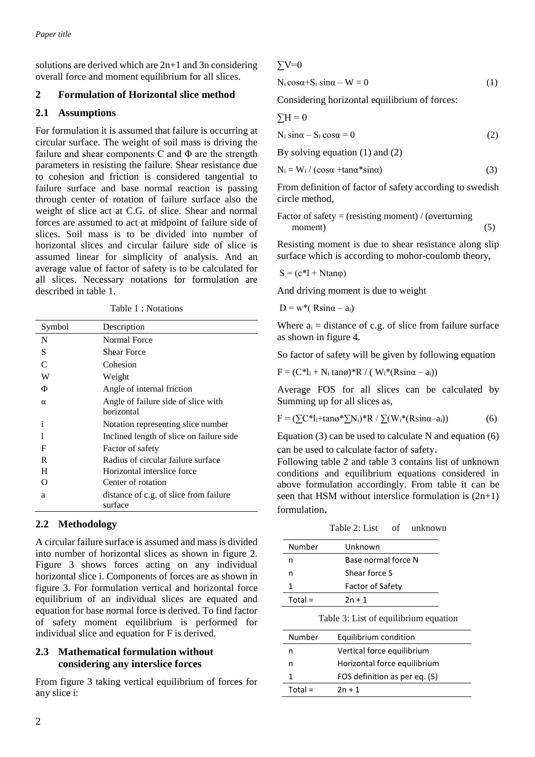solutions are derived which are 2n+1 and 3n considering overall force and moment equilibrium for all slices.

## **2 Formulation of Horizontal slice method**

## **2.1 Assumptions**

For formulation it is assumed that failure is occurring at circular surface. The weight of soil mass is driving the failure and shear components C and Φ are the strength parameters in resisting the failure. Shear resistance due to cohesion and friction is considered tangential to failure surface and base normal reaction is passing through center of rotation of failure surface also the weight of slice act at C.G. of slice. Shear and normal forces are assumed to act at midpoint of failure side of slices. Soil mass is to be divided into number of horizontal slices and circular failure side of slice is assumed linear for simplicity of analysis. And an average value of factor of safety is to be calculated for all slices. Necessary notations for formulation are described in table 1.

Table 1 : Notations

| Symbol   | Description                                       |
|----------|---------------------------------------------------|
| N        | Normal Force                                      |
| S        | <b>Shear Force</b>                                |
|          | Cohesion                                          |
| W        | Weight                                            |
| Φ        | Angle of internal friction                        |
| $\alpha$ | Angle of failure side of slice with<br>horizontal |
| i        | Notation representing slice number                |
|          | Inclined length of slice on failure side          |
| F        | Factor of safety                                  |
| R        | Radius of circular failure surface                |
| Н        | Horizontal interslice force                       |
| റ        | Center of rotation                                |
| a        | distance of c.g. of slice from failure<br>surface |

# **2.2 Methodology**

A circular failure surface is assumed and mass is divided into number of horizontal slices as shown in figure 2. Figure 3 shows forces acting on any individual horizontal slice i. Components of forces are as shown in figure 3. For formulation vertical and horizontal force equilibrium of an individual slices are equated and equation for base normal force is derived. To find factor of safety moment equilibrium is performed for individual slice and equation for F is derived.

### **2.3 Mathematical formulation without considering any interslice forces**

From figure 3 taking vertical equilibrium of forces for any slice i:

### $\Sigma$ V=0

 $N_i \cos\alpha + S_i \sin\alpha - W = 0$  (1)

Considering horizontal equilibrium of forces:

$$
\sum H = 0
$$

$$
N_i \sin \alpha - S_i \cos \alpha = 0 \tag{2}
$$

By solving equation (1) and (2)

$$
N_i = W_i / (cos\alpha + tan\alpha * sin\alpha)
$$
 (3)

From definition of factor of safety according to swedish circle method,

Factor of safety = (resisting moment) / (overturning moment) (5)

Resisting moment is due to shear resistance along slip surface which is according to mohor-coulomb theory,

$$
S = (c^*l + Ntan\varphi)
$$

And driving moment is due to weight

$$
D = w^*( Rsin\alpha - a_i)
$$

Where  $a_i$  = distance of c.g. of slice from failure surface as shown in figure 4.

So factor of safety will be given by following equation

 $F = (C^*l_i + N_i \tan\phi)^*R / (W_i^*(R\sin\alpha - a_i))$ 

Average FOS for all slices can be calculated by Summing up for all slices as,

$$
F = (\sum C^* l_i + \tan \alpha^* \sum N_i)^* R / \sum (W_i^* (R \sin \alpha - a_i))
$$
 (6)

Equation (3) can be used to calculate N and equation (6) can be used to calculate factor of safety.

Following table 2 and table 3 contains list of unknown conditions and equilibrium equations considered in above formulation accordingly. From table it can be seen that HSM without interslice formulation is  $(2n+1)$ formulation.

Table 2: List of unknown

| Number    | Unknown                 |  |
|-----------|-------------------------|--|
| n         | Base normal force N     |  |
| n         | Shear force S           |  |
|           | <b>Factor of Safety</b> |  |
| $Total =$ | $2n + 1$                |  |
|           |                         |  |

Table 3: List of equilibrium equation

| Number    | Equilibrium condition         |
|-----------|-------------------------------|
| n         | Vertical force equilibrium    |
| n         | Horizontal force equilibrium  |
|           | FOS definition as per eq. (5) |
| $Total =$ | $2n + 1$                      |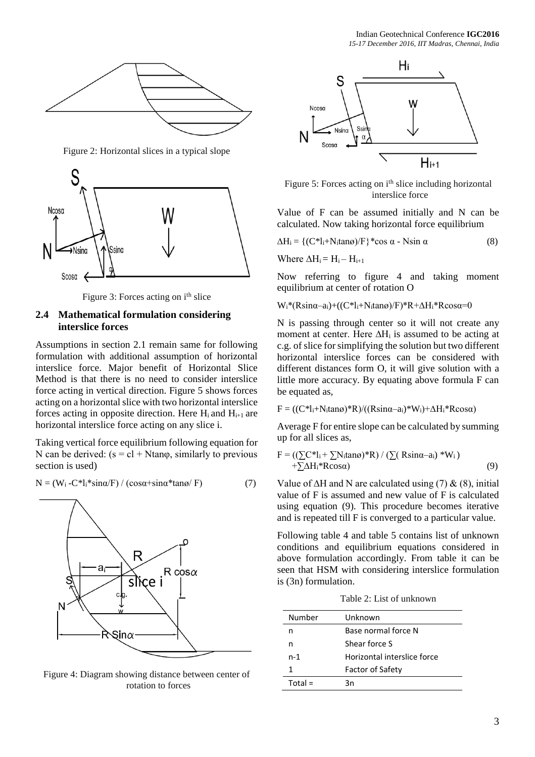

Figure 2: Horizontal slices in a typical slope



Figure 3: Forces acting on i<sup>th</sup> slice

#### **2.4 Mathematical formulation considering interslice forces**

Assumptions in section 2.1 remain same for following formulation with additional assumption of horizontal interslice force. Major benefit of Horizontal Slice Method is that there is no need to consider interslice force acting in vertical direction. Figure 5 shows forces acting on a horizontal slice with two horizontal interslice forces acting in opposite direction. Here  $H_i$  and  $H_{i+1}$  are horizontal interslice force acting on any slice i.

Taking vertical force equilibrium following equation for N can be derived:  $(s = c1 + Ntan\varphi,$  similarly to previous section is used)

$$
N = (W_i - C^*l_i * \sin\alpha / F) / (\cos\alpha + \sin\alpha * \tan\alpha / F)
$$
 (7)



Figure 4: Diagram showing distance between center of rotation to forces



Figure 5: Forces acting on i<sup>th</sup> slice including horizontal interslice force

Value of F can be assumed initially and N can be calculated. Now taking horizontal force equilibrium

$$
\Delta H_i = \{ (C^*l_i + N_i \tan \alpha) / F \} * \cos \alpha - N \sin \alpha \tag{8}
$$

Where  $\Delta H_i = H_i - H_{i+1}$ 

Now referring to figure 4 and taking moment equilibrium at center of rotation O

Wi\*(Rsinα–ai)+((C\*li+Nitanø)/F)\*R+∆Hi\*Rcosα=0

N is passing through center so it will not create any moment at center. Here  $\Delta H_i$  is assumed to be acting at c.g. of slice for simplifying the solution but two different horizontal interslice forces can be considered with different distances form O, it will give solution with a little more accuracy. By equating above formula F can be equated as,

$$
F = ((C^*l_i + N_i \tan \omega)^* R) / ((R \sin \alpha - a_i)^* W_i) + \Delta H_i^* R \cos \alpha)
$$

Average F for entire slope can be calculated by summing up for all slices as,

$$
F = \left(\left(\sum \mathbb{C}^* l_i + \sum N_i \tan \alpha\right)^* R\right) / \left(\sum \left(R \sin \alpha - a_i\right)^* W_i\right) + \sum \Delta H_i^* R \cos \alpha\right) \tag{9}
$$

Value of  $\Delta H$  and N are calculated using (7) & (8), initial value of F is assumed and new value of F is calculated using equation (9). This procedure becomes iterative and is repeated till F is converged to a particular value.

Following table 4 and table 5 contains list of unknown conditions and equilibrium equations considered in above formulation accordingly. From table it can be seen that HSM with considering interslice formulation is (3n) formulation.

Table 2: List of unknown

| Number    | Unknown                     |  |
|-----------|-----------------------------|--|
| n         | Base normal force N         |  |
| n         | Shear force S               |  |
| n-1       | Horizontal interslice force |  |
|           | Factor of Safety            |  |
| $Total =$ | Зn                          |  |
|           |                             |  |